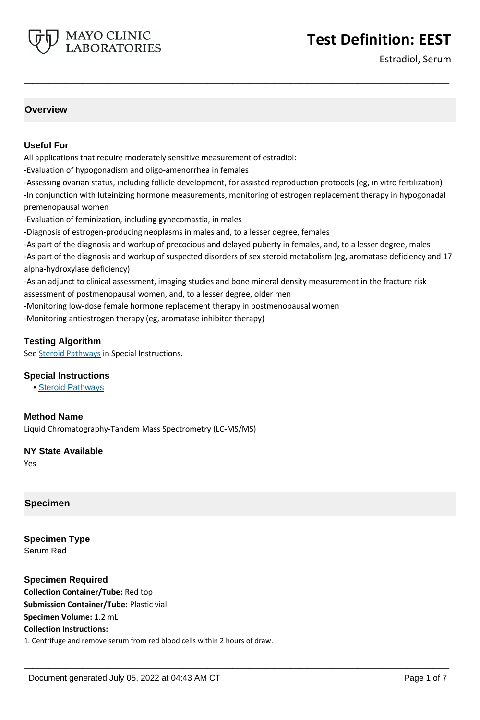

Estradiol, Serum

# **Overview**

### **Useful For**

All applications that require moderately sensitive measurement of estradiol:

-Evaluation of hypogonadism and oligo-amenorrhea in females

MAYO CLINIC **LABORATORIES** 

-Assessing ovarian status, including follicle development, for assisted reproduction protocols (eg, in vitro fertilization) -In conjunction with luteinizing hormone measurements, monitoring of estrogen replacement therapy in hypogonadal premenopausal women

**\_\_\_\_\_\_\_\_\_\_\_\_\_\_\_\_\_\_\_\_\_\_\_\_\_\_\_\_\_\_\_\_\_\_\_\_\_\_\_\_\_\_\_\_\_\_\_\_\_\_\_**

-Evaluation of feminization, including gynecomastia, in males

-Diagnosis of estrogen-producing neoplasms in males and, to a lesser degree, females

-As part of the diagnosis and workup of precocious and delayed puberty in females, and, to a lesser degree, males -As part of the diagnosis and workup of suspected disorders of sex steroid metabolism (eg, aromatase deficiency and 17 alpha-hydroxylase deficiency)

**\_\_\_\_\_\_\_\_\_\_\_\_\_\_\_\_\_\_\_\_\_\_\_\_\_\_\_\_\_\_\_\_\_\_\_\_\_\_\_\_\_\_\_\_\_\_\_\_\_\_\_**

-As an adjunct to clinical assessment, imaging studies and bone mineral density measurement in the fracture risk assessment of postmenopausal women, and, to a lesser degree, older men

-Monitoring low-dose female hormone replacement therapy in postmenopausal women

-Monitoring antiestrogen therapy (eg, aromatase inhibitor therapy)

### **Testing Algorithm**

See **Steroid Pathways** in Special Instructions.

### **Special Instructions**

• [Steroid Pathways](http://www.mayocliniclabs.com/it-mmfiles/Steroid_Pathways.pdf)

### **Method Name**

Liquid Chromatography-Tandem Mass Spectrometry (LC-MS/MS)

### **NY State Available**

Yes

### **Specimen**

**Specimen Type** Serum Red

### **Specimen Required**

**Collection Container/Tube:** Red top **Submission Container/Tube:** Plastic vial **Specimen Volume:** 1.2 mL **Collection Instructions:** 1. Centrifuge and remove serum from red blood cells within 2 hours of draw.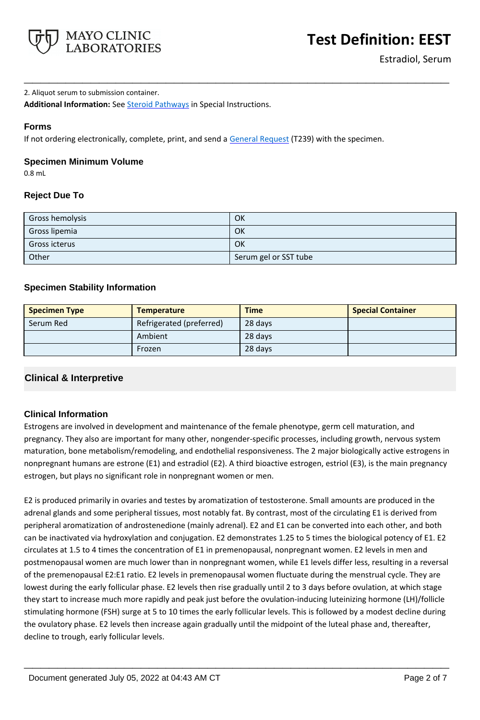

2. Aliquot serum to submission container.

**Additional Information:** See [Steroid Pathways](http://www.mayocliniclabs.com/it-mmfiles/Steroid_Pathways.pdf) in Special Instructions.

# **Forms**

If not ordering electronically, complete, print, and send a [General Request](https://www.mayocliniclabs.com/~/media/it-mmfiles/special-instructions/general-request-form.pdf) (T239) with the specimen.

## **Specimen Minimum Volume**

0.8 mL

# **Reject Due To**

| Gross hemolysis | OK                    |
|-----------------|-----------------------|
| Gross lipemia   | OK                    |
| Gross icterus   | OK                    |
| Other           | Serum gel or SST tube |

**\_\_\_\_\_\_\_\_\_\_\_\_\_\_\_\_\_\_\_\_\_\_\_\_\_\_\_\_\_\_\_\_\_\_\_\_\_\_\_\_\_\_\_\_\_\_\_\_\_\_\_**

# **Specimen Stability Information**

| <b>Specimen Type</b> | <b>Temperature</b>       | <b>Time</b> | <b>Special Container</b> |
|----------------------|--------------------------|-------------|--------------------------|
| Serum Red            | Refrigerated (preferred) | 28 days     |                          |
|                      | Ambient                  | 28 days     |                          |
|                      | Frozen                   | 28 days     |                          |

# **Clinical & Interpretive**

## **Clinical Information**

Estrogens are involved in development and maintenance of the female phenotype, germ cell maturation, and pregnancy. They also are important for many other, nongender-specific processes, including growth, nervous system maturation, bone metabolism/remodeling, and endothelial responsiveness. The 2 major biologically active estrogens in nonpregnant humans are estrone (E1) and estradiol (E2). A third bioactive estrogen, estriol (E3), is the main pregnancy estrogen, but plays no significant role in nonpregnant women or men.

E2 is produced primarily in ovaries and testes by aromatization of testosterone. Small amounts are produced in the adrenal glands and some peripheral tissues, most notably fat. By contrast, most of the circulating E1 is derived from peripheral aromatization of androstenedione (mainly adrenal). E2 and E1 can be converted into each other, and both can be inactivated via hydroxylation and conjugation. E2 demonstrates 1.25 to 5 times the biological potency of E1. E2 circulates at 1.5 to 4 times the concentration of E1 in premenopausal, nonpregnant women. E2 levels in men and postmenopausal women are much lower than in nonpregnant women, while E1 levels differ less, resulting in a reversal of the premenopausal E2:E1 ratio. E2 levels in premenopausal women fluctuate during the menstrual cycle. They are lowest during the early follicular phase. E2 levels then rise gradually until 2 to 3 days before ovulation, at which stage they start to increase much more rapidly and peak just before the ovulation-inducing luteinizing hormone (LH)/follicle stimulating hormone (FSH) surge at 5 to 10 times the early follicular levels. This is followed by a modest decline during the ovulatory phase. E2 levels then increase again gradually until the midpoint of the luteal phase and, thereafter, decline to trough, early follicular levels.

**\_\_\_\_\_\_\_\_\_\_\_\_\_\_\_\_\_\_\_\_\_\_\_\_\_\_\_\_\_\_\_\_\_\_\_\_\_\_\_\_\_\_\_\_\_\_\_\_\_\_\_**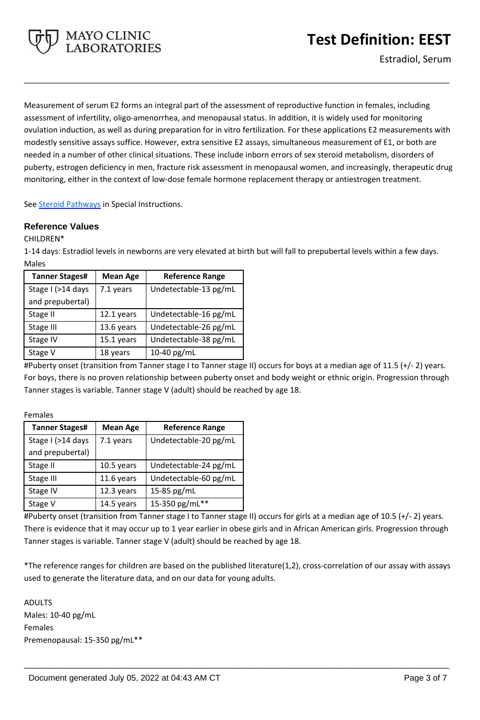

Measurement of serum E2 forms an integral part of the assessment of reproductive function in females, including assessment of infertility, oligo-amenorrhea, and menopausal status. In addition, it is widely used for monitoring ovulation induction, as well as during preparation for in vitro fertilization. For these applications E2 measurements with modestly sensitive assays suffice. However, extra sensitive E2 assays, simultaneous measurement of E1, or both are needed in a number of other clinical situations. These include inborn errors of sex steroid metabolism, disorders of puberty, estrogen deficiency in men, fracture risk assessment in menopausal women, and increasingly, therapeutic drug monitoring, either in the context of low-dose female hormone replacement therapy or antiestrogen treatment.

**\_\_\_\_\_\_\_\_\_\_\_\_\_\_\_\_\_\_\_\_\_\_\_\_\_\_\_\_\_\_\_\_\_\_\_\_\_\_\_\_\_\_\_\_\_\_\_\_\_\_\_**

See [Steroid Pathways](http://www.mayocliniclabs.com/it-mmfiles/Steroid_Pathways.pdf) in Special Instructions.

**MAYO CLINIC<br>LABORATORIES** 

## **Reference Values**

CHILDREN\*

1-14 days: Estradiol levels in newborns are very elevated at birth but will fall to prepubertal levels within a few days. Males

| <b>Tanner Stages#</b> | <b>Mean Age</b> | <b>Reference Range</b> |
|-----------------------|-----------------|------------------------|
| Stage I (>14 days     | 7.1 years       | Undetectable-13 pg/mL  |
| and prepubertal)      |                 |                        |
| Stage II              | 12.1 years      | Undetectable-16 pg/mL  |
| Stage III             | 13.6 years      | Undetectable-26 pg/mL  |
| Stage IV              | 15.1 years      | Undetectable-38 pg/mL  |
| Stage V               | 18 years        | 10-40 pg/mL            |

#Puberty onset (transition from Tanner stage I to Tanner stage II) occurs for boys at a median age of 11.5 (+/- 2) years. For boys, there is no proven relationship between puberty onset and body weight or ethnic origin. Progression through Tanner stages is variable. Tanner stage V (adult) should be reached by age 18.

Females

| <b>Tanner Stages#</b> | <b>Mean Age</b> | <b>Reference Range</b> |
|-----------------------|-----------------|------------------------|
| Stage I (>14 days     | 7.1 years       | Undetectable-20 pg/mL  |
| and prepubertal)      |                 |                        |
| Stage II              | 10.5 years      | Undetectable-24 pg/mL  |
| Stage III             | 11.6 years      | Undetectable-60 pg/mL  |
| Stage IV              | 12.3 years      | 15-85 pg/mL            |
| Stage V               | 14.5 years      | 15-350 pg/mL**         |

#Puberty onset (transition from Tanner stage I to Tanner stage II) occurs for girls at a median age of 10.5 (+/- 2) years. There is evidence that it may occur up to 1 year earlier in obese girls and in African American girls. Progression through Tanner stages is variable. Tanner stage V (adult) should be reached by age 18.

\*The reference ranges for children are based on the published literature(1,2), cross-correlation of our assay with assays used to generate the literature data, and on our data for young adults.

**\_\_\_\_\_\_\_\_\_\_\_\_\_\_\_\_\_\_\_\_\_\_\_\_\_\_\_\_\_\_\_\_\_\_\_\_\_\_\_\_\_\_\_\_\_\_\_\_\_\_\_**

ADULTS Males: 10-40 pg/mL Females Premenopausal: 15-350 pg/mL\*\*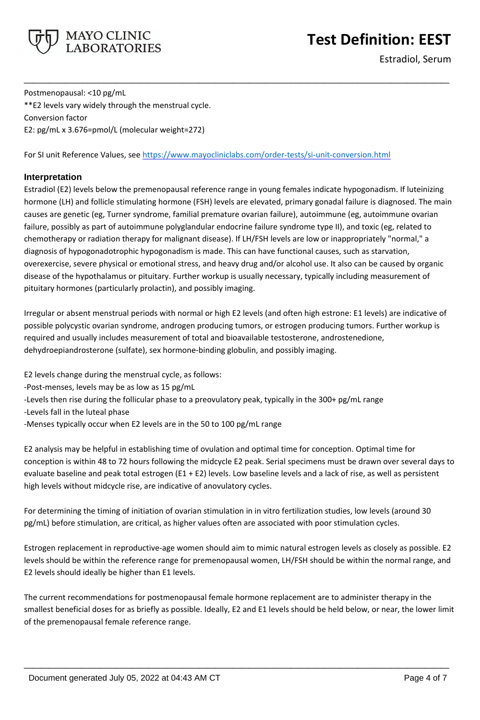

# **Test Definition: EEST**

Estradiol, Serum

Postmenopausal: <10 pg/mL \*\*E2 levels vary widely through the menstrual cycle. Conversion factor E2: pg/mL x 3.676=pmol/L (molecular weight=272)

For SI unit Reference Values, see<https://www.mayocliniclabs.com/order-tests/si-unit-conversion.html>

# **Interpretation**

Estradiol (E2) levels below the premenopausal reference range in young females indicate hypogonadism. If luteinizing hormone (LH) and follicle stimulating hormone (FSH) levels are elevated, primary gonadal failure is diagnosed. The main causes are genetic (eg, Turner syndrome, familial premature ovarian failure), autoimmune (eg, autoimmune ovarian failure, possibly as part of autoimmune polyglandular endocrine failure syndrome type II), and toxic (eg, related to chemotherapy or radiation therapy for malignant disease). If LH/FSH levels are low or inappropriately "normal," a diagnosis of hypogonadotrophic hypogonadism is made. This can have functional causes, such as starvation, overexercise, severe physical or emotional stress, and heavy drug and/or alcohol use. It also can be caused by organic disease of the hypothalamus or pituitary. Further workup is usually necessary, typically including measurement of pituitary hormones (particularly prolactin), and possibly imaging.

**\_\_\_\_\_\_\_\_\_\_\_\_\_\_\_\_\_\_\_\_\_\_\_\_\_\_\_\_\_\_\_\_\_\_\_\_\_\_\_\_\_\_\_\_\_\_\_\_\_\_\_**

Irregular or absent menstrual periods with normal or high E2 levels (and often high estrone: E1 levels) are indicative of possible polycystic ovarian syndrome, androgen producing tumors, or estrogen producing tumors. Further workup is required and usually includes measurement of total and bioavailable testosterone, androstenedione, dehydroepiandrosterone (sulfate), sex hormone-binding globulin, and possibly imaging.

E2 levels change during the menstrual cycle, as follows:

- -Post-menses, levels may be as low as 15 pg/mL
- -Levels then rise during the follicular phase to a preovulatory peak, typically in the 300+ pg/mL range
- -Levels fall in the luteal phase
- -Menses typically occur when E2 levels are in the 50 to 100 pg/mL range

E2 analysis may be helpful in establishing time of ovulation and optimal time for conception. Optimal time for conception is within 48 to 72 hours following the midcycle E2 peak. Serial specimens must be drawn over several days to evaluate baseline and peak total estrogen (E1 + E2) levels. Low baseline levels and a lack of rise, as well as persistent high levels without midcycle rise, are indicative of anovulatory cycles.

For determining the timing of initiation of ovarian stimulation in in vitro fertilization studies, low levels (around 30 pg/mL) before stimulation, are critical, as higher values often are associated with poor stimulation cycles.

Estrogen replacement in reproductive-age women should aim to mimic natural estrogen levels as closely as possible. E2 levels should be within the reference range for premenopausal women, LH/FSH should be within the normal range, and E2 levels should ideally be higher than E1 levels.

The current recommendations for postmenopausal female hormone replacement are to administer therapy in the smallest beneficial doses for as briefly as possible. Ideally, E2 and E1 levels should be held below, or near, the lower limit of the premenopausal female reference range.

**\_\_\_\_\_\_\_\_\_\_\_\_\_\_\_\_\_\_\_\_\_\_\_\_\_\_\_\_\_\_\_\_\_\_\_\_\_\_\_\_\_\_\_\_\_\_\_\_\_\_\_**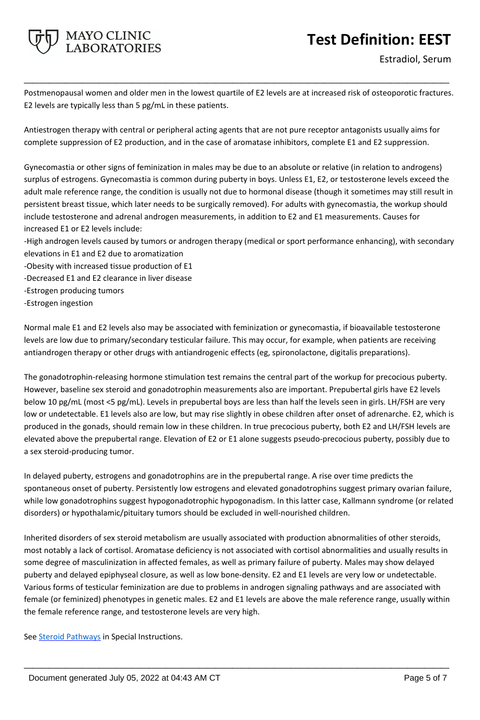# **Test Definition: EEST**



Postmenopausal women and older men in the lowest quartile of E2 levels are at increased risk of osteoporotic fractures. E2 levels are typically less than 5 pg/mL in these patients.

**\_\_\_\_\_\_\_\_\_\_\_\_\_\_\_\_\_\_\_\_\_\_\_\_\_\_\_\_\_\_\_\_\_\_\_\_\_\_\_\_\_\_\_\_\_\_\_\_\_\_\_**

Antiestrogen therapy with central or peripheral acting agents that are not pure receptor antagonists usually aims for complete suppression of E2 production, and in the case of aromatase inhibitors, complete E1 and E2 suppression.

Gynecomastia or other signs of feminization in males may be due to an absolute or relative (in relation to androgens) surplus of estrogens. Gynecomastia is common during puberty in boys. Unless E1, E2, or testosterone levels exceed the adult male reference range, the condition is usually not due to hormonal disease (though it sometimes may still result in persistent breast tissue, which later needs to be surgically removed). For adults with gynecomastia, the workup should include testosterone and adrenal androgen measurements, in addition to E2 and E1 measurements. Causes for increased E1 or E2 levels include:

-High androgen levels caused by tumors or androgen therapy (medical or sport performance enhancing), with secondary elevations in E1 and E2 due to aromatization

-Obesity with increased tissue production of E1

MAYO CLINIC **LABORATORIES** 

- -Decreased E1 and E2 clearance in liver disease
- -Estrogen producing tumors
- -Estrogen ingestion

Normal male E1 and E2 levels also may be associated with feminization or gynecomastia, if bioavailable testosterone levels are low due to primary/secondary testicular failure. This may occur, for example, when patients are receiving antiandrogen therapy or other drugs with antiandrogenic effects (eg, spironolactone, digitalis preparations).

The gonadotrophin-releasing hormone stimulation test remains the central part of the workup for precocious puberty. However, baseline sex steroid and gonadotrophin measurements also are important. Prepubertal girls have E2 levels below 10 pg/mL (most <5 pg/mL). Levels in prepubertal boys are less than half the levels seen in girls. LH/FSH are very low or undetectable. E1 levels also are low, but may rise slightly in obese children after onset of adrenarche. E2, which is produced in the gonads, should remain low in these children. In true precocious puberty, both E2 and LH/FSH levels are elevated above the prepubertal range. Elevation of E2 or E1 alone suggests pseudo-precocious puberty, possibly due to a sex steroid-producing tumor.

In delayed puberty, estrogens and gonadotrophins are in the prepubertal range. A rise over time predicts the spontaneous onset of puberty. Persistently low estrogens and elevated gonadotrophins suggest primary ovarian failure, while low gonadotrophins suggest hypogonadotrophic hypogonadism. In this latter case, Kallmann syndrome (or related disorders) or hypothalamic/pituitary tumors should be excluded in well-nourished children.

Inherited disorders of sex steroid metabolism are usually associated with production abnormalities of other steroids, most notably a lack of cortisol. Aromatase deficiency is not associated with cortisol abnormalities and usually results in some degree of masculinization in affected females, as well as primary failure of puberty. Males may show delayed puberty and delayed epiphyseal closure, as well as low bone-density. E2 and E1 levels are very low or undetectable. Various forms of testicular feminization are due to problems in androgen signaling pathways and are associated with female (or feminized) phenotypes in genetic males. E2 and E1 levels are above the male reference range, usually within the female reference range, and testosterone levels are very high.

**\_\_\_\_\_\_\_\_\_\_\_\_\_\_\_\_\_\_\_\_\_\_\_\_\_\_\_\_\_\_\_\_\_\_\_\_\_\_\_\_\_\_\_\_\_\_\_\_\_\_\_**

See **Steroid Pathways** in Special Instructions.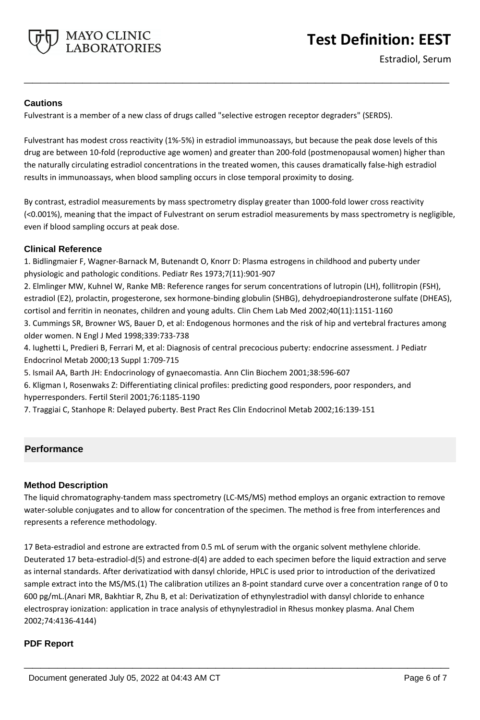

Estradiol, Serum

# **Cautions**

Fulvestrant is a member of a new class of drugs called "selective estrogen receptor degraders" (SERDS).

Fulvestrant has modest cross reactivity (1%-5%) in estradiol immunoassays, but because the peak dose levels of this drug are between 10-fold (reproductive age women) and greater than 200-fold (postmenopausal women) higher than the naturally circulating estradiol concentrations in the treated women, this causes dramatically false-high estradiol results in immunoassays, when blood sampling occurs in close temporal proximity to dosing.

**\_\_\_\_\_\_\_\_\_\_\_\_\_\_\_\_\_\_\_\_\_\_\_\_\_\_\_\_\_\_\_\_\_\_\_\_\_\_\_\_\_\_\_\_\_\_\_\_\_\_\_**

By contrast, estradiol measurements by mass spectrometry display greater than 1000-fold lower cross reactivity (<0.001%), meaning that the impact of Fulvestrant on serum estradiol measurements by mass spectrometry is negligible, even if blood sampling occurs at peak dose.

# **Clinical Reference**

1. Bidlingmaier F, Wagner-Barnack M, Butenandt O, Knorr D: Plasma estrogens in childhood and puberty under physiologic and pathologic conditions. Pediatr Res 1973;7(11):901-907

2. Elmlinger MW, Kuhnel W, Ranke MB: Reference ranges for serum concentrations of lutropin (LH), follitropin (FSH), estradiol (E2), prolactin, progesterone, sex hormone-binding globulin (SHBG), dehydroepiandrosterone sulfate (DHEAS), cortisol and ferritin in neonates, children and young adults. Clin Chem Lab Med 2002;40(11):1151-1160

3. Cummings SR, Browner WS, Bauer D, et al: Endogenous hormones and the risk of hip and vertebral fractures among older women. N Engl J Med 1998;339:733-738

4. Iughetti L, Predieri B, Ferrari M, et al: Diagnosis of central precocious puberty: endocrine assessment. J Pediatr Endocrinol Metab 2000;13 Suppl 1:709-715

5. Ismail AA, Barth JH: Endocrinology of gynaecomastia. Ann Clin Biochem 2001;38:596-607

6. Kligman I, Rosenwaks Z: Differentiating clinical profiles: predicting good responders, poor responders, and hyperresponders. Fertil Steril 2001;76:1185-1190

7. Traggiai C, Stanhope R: Delayed puberty. Best Pract Res Clin Endocrinol Metab 2002;16:139-151

# **Performance**

## **Method Description**

The liquid chromatography-tandem mass spectrometry (LC-MS/MS) method employs an organic extraction to remove water-soluble conjugates and to allow for concentration of the specimen. The method is free from interferences and represents a reference methodology.

17 Beta-estradiol and estrone are extracted from 0.5 mL of serum with the organic solvent methylene chloride. Deuterated 17 beta-estradiol-d(5) and estrone-d(4) are added to each specimen before the liquid extraction and serve as internal standards. After derivatizatiod with dansyl chloride, HPLC is used prior to introduction of the derivatized sample extract into the MS/MS.(1) The calibration utilizes an 8-point standard curve over a concentration range of 0 to 600 pg/mL.(Anari MR, Bakhtiar R, Zhu B, et al: Derivatization of ethynylestradiol with dansyl chloride to enhance electrospray ionization: application in trace analysis of ethynylestradiol in Rhesus monkey plasma. Anal Chem 2002;74:4136-4144)

**\_\_\_\_\_\_\_\_\_\_\_\_\_\_\_\_\_\_\_\_\_\_\_\_\_\_\_\_\_\_\_\_\_\_\_\_\_\_\_\_\_\_\_\_\_\_\_\_\_\_\_**

## **PDF Report**